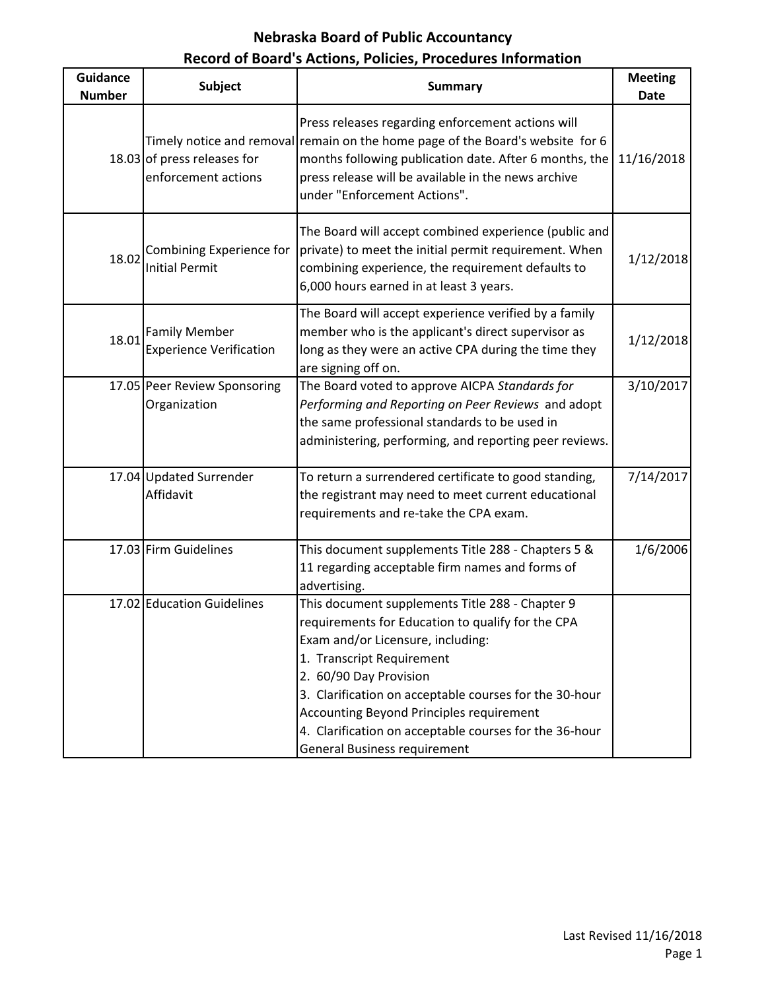| <b>Guidance</b><br><b>Number</b> | <b>Subject</b>                                         | <b>Summary</b>                                                                                                                                                                                                                                                                                                                                                                                                 | <b>Meeting</b><br><b>Date</b> |
|----------------------------------|--------------------------------------------------------|----------------------------------------------------------------------------------------------------------------------------------------------------------------------------------------------------------------------------------------------------------------------------------------------------------------------------------------------------------------------------------------------------------------|-------------------------------|
|                                  | 18.03 of press releases for<br>enforcement actions     | Press releases regarding enforcement actions will<br>Timely notice and removal remain on the home page of the Board's website for 6<br>months following publication date. After 6 months, the<br>press release will be available in the news archive<br>under "Enforcement Actions".                                                                                                                           | 11/16/2018                    |
| 18.02                            | Combining Experience for<br><b>Initial Permit</b>      | The Board will accept combined experience (public and<br>private) to meet the initial permit requirement. When<br>combining experience, the requirement defaults to<br>6,000 hours earned in at least 3 years.                                                                                                                                                                                                 | 1/12/2018                     |
| 18.01                            | <b>Family Member</b><br><b>Experience Verification</b> | The Board will accept experience verified by a family<br>member who is the applicant's direct supervisor as<br>long as they were an active CPA during the time they<br>are signing off on.                                                                                                                                                                                                                     | 1/12/2018                     |
|                                  | 17.05 Peer Review Sponsoring<br>Organization           | The Board voted to approve AICPA Standards for<br>Performing and Reporting on Peer Reviews and adopt<br>the same professional standards to be used in<br>administering, performing, and reporting peer reviews.                                                                                                                                                                                                | 3/10/2017                     |
|                                  | 17.04 Updated Surrender<br>Affidavit                   | To return a surrendered certificate to good standing,<br>the registrant may need to meet current educational<br>requirements and re-take the CPA exam.                                                                                                                                                                                                                                                         | 7/14/2017                     |
|                                  | 17.03 Firm Guidelines                                  | This document supplements Title 288 - Chapters 5 &<br>11 regarding acceptable firm names and forms of<br>advertising.                                                                                                                                                                                                                                                                                          | 1/6/2006                      |
|                                  | 17.02 Education Guidelines                             | This document supplements Title 288 - Chapter 9<br>requirements for Education to qualify for the CPA<br>Exam and/or Licensure, including:<br>1. Transcript Requirement<br>2. 60/90 Day Provision<br>3. Clarification on acceptable courses for the 30-hour<br><b>Accounting Beyond Principles requirement</b><br>4. Clarification on acceptable courses for the 36-hour<br><b>General Business requirement</b> |                               |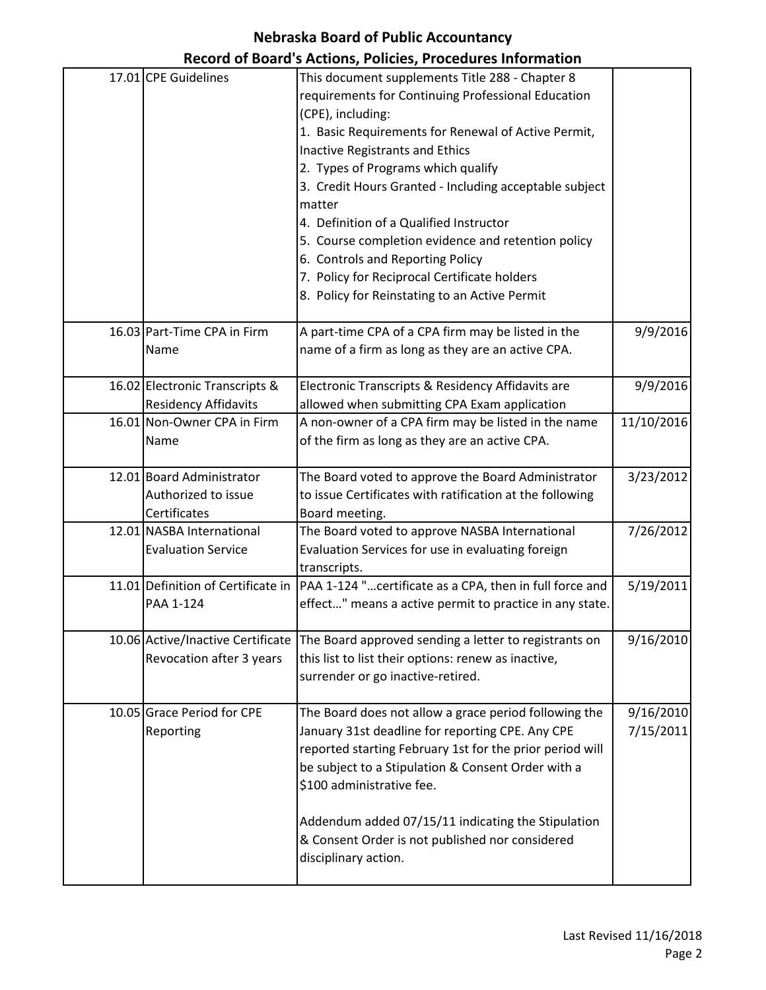# **Nebraska Board of Public Accountancy**

|                                                                  | Record of Board's Actions, Policies, Procedures Information                                                                                                                                                                                                                                                                                                                                                                                                                                                                                                                 |                        |
|------------------------------------------------------------------|-----------------------------------------------------------------------------------------------------------------------------------------------------------------------------------------------------------------------------------------------------------------------------------------------------------------------------------------------------------------------------------------------------------------------------------------------------------------------------------------------------------------------------------------------------------------------------|------------------------|
| 17.01 CPE Guidelines                                             | This document supplements Title 288 - Chapter 8<br>requirements for Continuing Professional Education<br>(CPE), including:<br>1. Basic Requirements for Renewal of Active Permit,<br><b>Inactive Registrants and Ethics</b><br>2. Types of Programs which qualify<br>3. Credit Hours Granted - Including acceptable subject<br>matter<br>4. Definition of a Qualified Instructor<br>5. Course completion evidence and retention policy<br>6. Controls and Reporting Policy<br>7. Policy for Reciprocal Certificate holders<br>8. Policy for Reinstating to an Active Permit |                        |
| 16.03 Part-Time CPA in Firm<br>Name                              | A part-time CPA of a CPA firm may be listed in the<br>name of a firm as long as they are an active CPA.                                                                                                                                                                                                                                                                                                                                                                                                                                                                     | 9/9/2016               |
| 16.02 Electronic Transcripts &<br><b>Residency Affidavits</b>    | Electronic Transcripts & Residency Affidavits are<br>allowed when submitting CPA Exam application                                                                                                                                                                                                                                                                                                                                                                                                                                                                           | 9/9/2016               |
| 16.01 Non-Owner CPA in Firm<br>Name                              | A non-owner of a CPA firm may be listed in the name<br>of the firm as long as they are an active CPA.                                                                                                                                                                                                                                                                                                                                                                                                                                                                       | 11/10/2016             |
| 12.01 Board Administrator<br>Authorized to issue<br>Certificates | The Board voted to approve the Board Administrator<br>to issue Certificates with ratification at the following<br>Board meeting.                                                                                                                                                                                                                                                                                                                                                                                                                                            | 3/23/2012              |
| 12.01 NASBA International<br><b>Evaluation Service</b>           | The Board voted to approve NASBA International<br>Evaluation Services for use in evaluating foreign<br>transcripts.                                                                                                                                                                                                                                                                                                                                                                                                                                                         | 7/26/2012              |
| 11.01 Definition of Certificate in<br>PAA 1-124                  | PAA 1-124 "certificate as a CPA, then in full force and<br>effect" means a active permit to practice in any state.                                                                                                                                                                                                                                                                                                                                                                                                                                                          | 5/19/2011              |
| 10.06 Active/Inactive Certificate<br>Revocation after 3 years    | The Board approved sending a letter to registrants on<br>this list to list their options: renew as inactive,<br>surrender or go inactive-retired.                                                                                                                                                                                                                                                                                                                                                                                                                           | 9/16/2010              |
| 10.05 Grace Period for CPE<br>Reporting                          | The Board does not allow a grace period following the<br>January 31st deadline for reporting CPE. Any CPE<br>reported starting February 1st for the prior period will<br>be subject to a Stipulation & Consent Order with a<br>\$100 administrative fee.<br>Addendum added 07/15/11 indicating the Stipulation<br>& Consent Order is not published nor considered<br>disciplinary action.                                                                                                                                                                                   | 9/16/2010<br>7/15/2011 |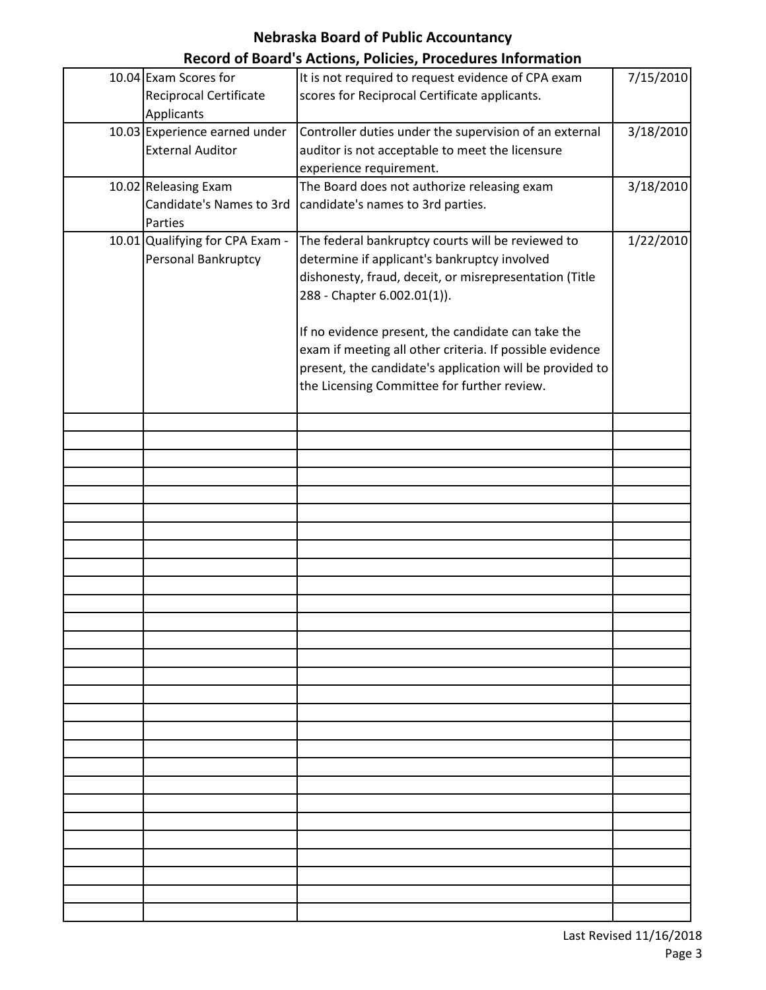|                                                             | Record of Board's Actions, Policies, Procedures information                                                                                                                                                               |           |
|-------------------------------------------------------------|---------------------------------------------------------------------------------------------------------------------------------------------------------------------------------------------------------------------------|-----------|
| 10.04 Exam Scores for<br><b>Reciprocal Certificate</b>      | It is not required to request evidence of CPA exam<br>scores for Reciprocal Certificate applicants.                                                                                                                       | 7/15/2010 |
| Applicants                                                  |                                                                                                                                                                                                                           |           |
| 10.03 Experience earned under<br><b>External Auditor</b>    | Controller duties under the supervision of an external<br>auditor is not acceptable to meet the licensure<br>experience requirement.                                                                                      | 3/18/2010 |
|                                                             |                                                                                                                                                                                                                           |           |
| 10.02 Releasing Exam<br>Candidate's Names to 3rd<br>Parties | The Board does not authorize releasing exam<br>candidate's names to 3rd parties.                                                                                                                                          | 3/18/2010 |
| 10.01 Qualifying for CPA Exam -<br>Personal Bankruptcy      | The federal bankruptcy courts will be reviewed to<br>determine if applicant's bankruptcy involved<br>dishonesty, fraud, deceit, or misrepresentation (Title<br>288 - Chapter 6.002.01(1)).                                | 1/22/2010 |
|                                                             | If no evidence present, the candidate can take the<br>exam if meeting all other criteria. If possible evidence<br>present, the candidate's application will be provided to<br>the Licensing Committee for further review. |           |
|                                                             |                                                                                                                                                                                                                           |           |
|                                                             |                                                                                                                                                                                                                           |           |
|                                                             |                                                                                                                                                                                                                           |           |
|                                                             |                                                                                                                                                                                                                           |           |
|                                                             |                                                                                                                                                                                                                           |           |
|                                                             |                                                                                                                                                                                                                           |           |
|                                                             |                                                                                                                                                                                                                           |           |
|                                                             |                                                                                                                                                                                                                           |           |
|                                                             |                                                                                                                                                                                                                           |           |
|                                                             |                                                                                                                                                                                                                           |           |
|                                                             |                                                                                                                                                                                                                           |           |
|                                                             |                                                                                                                                                                                                                           |           |
|                                                             |                                                                                                                                                                                                                           |           |
|                                                             |                                                                                                                                                                                                                           |           |
|                                                             |                                                                                                                                                                                                                           |           |
|                                                             |                                                                                                                                                                                                                           |           |
|                                                             |                                                                                                                                                                                                                           |           |
|                                                             |                                                                                                                                                                                                                           |           |
|                                                             |                                                                                                                                                                                                                           |           |
|                                                             |                                                                                                                                                                                                                           |           |
|                                                             |                                                                                                                                                                                                                           |           |
|                                                             |                                                                                                                                                                                                                           |           |
|                                                             |                                                                                                                                                                                                                           |           |
|                                                             |                                                                                                                                                                                                                           |           |
|                                                             |                                                                                                                                                                                                                           |           |
|                                                             |                                                                                                                                                                                                                           |           |
|                                                             |                                                                                                                                                                                                                           |           |
|                                                             |                                                                                                                                                                                                                           |           |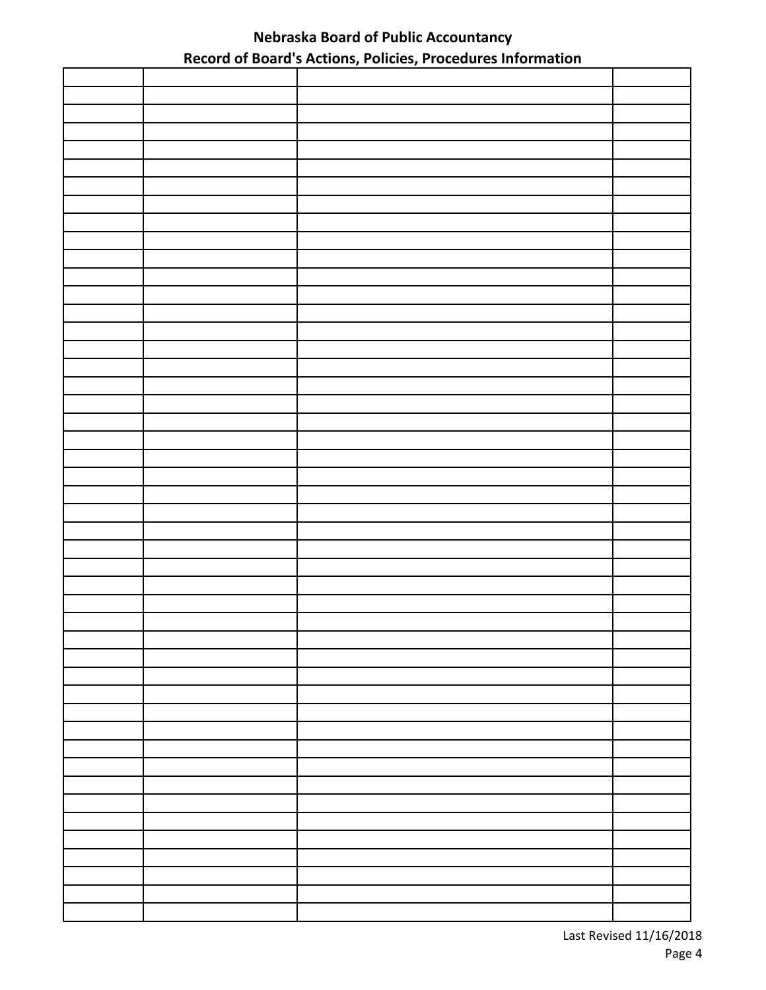| . . |  |
|-----|--|
|     |  |
|     |  |
|     |  |
|     |  |
|     |  |
|     |  |
|     |  |
|     |  |
|     |  |
|     |  |
|     |  |
|     |  |
|     |  |
|     |  |
|     |  |
|     |  |
|     |  |
|     |  |
|     |  |
|     |  |
|     |  |
|     |  |
|     |  |
|     |  |
|     |  |
|     |  |
|     |  |
|     |  |
|     |  |
|     |  |
|     |  |
|     |  |
|     |  |
|     |  |
|     |  |
|     |  |
|     |  |
|     |  |
|     |  |
|     |  |
|     |  |
|     |  |
|     |  |
|     |  |
|     |  |
|     |  |
|     |  |
|     |  |
|     |  |
|     |  |
|     |  |
|     |  |